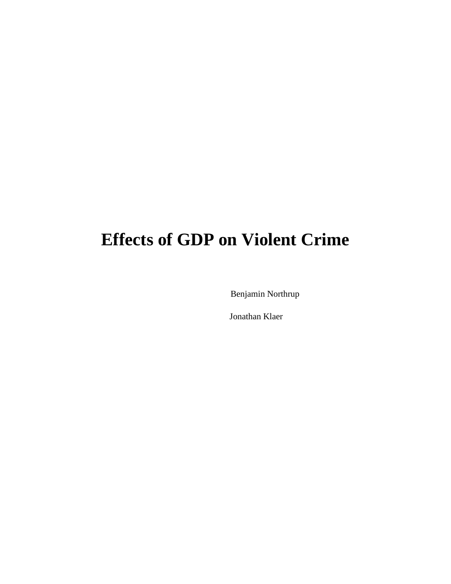# **Effects of GDP on Violent Crime**

Benjamin Northrup

Jonathan Klaer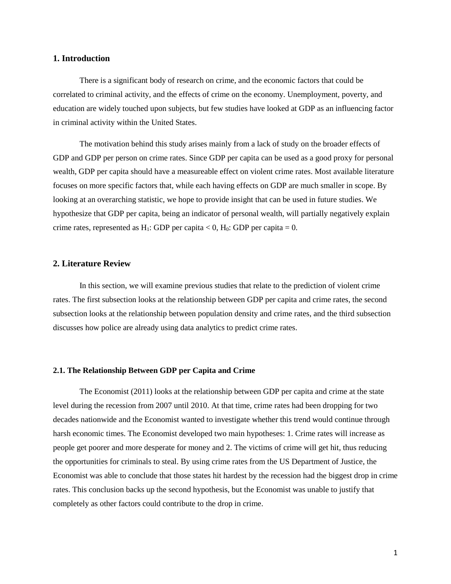#### **1. Introduction**

There is a significant body of research on crime, and the economic factors that could be correlated to criminal activity, and the effects of crime on the economy. Unemployment, poverty, and education are widely touched upon subjects, but few studies have looked at GDP as an influencing factor in criminal activity within the United States.

The motivation behind this study arises mainly from a lack of study on the broader effects of GDP and GDP per person on crime rates. Since GDP per capita can be used as a good proxy for personal wealth, GDP per capita should have a measureable effect on violent crime rates. Most available literature focuses on more specific factors that, while each having effects on GDP are much smaller in scope. By looking at an overarching statistic, we hope to provide insight that can be used in future studies. We hypothesize that GDP per capita, being an indicator of personal wealth, will partially negatively explain crime rates, represented as H<sub>1</sub>: GDP per capita  $< 0$ , H<sub>0</sub>: GDP per capita  $= 0$ .

#### **2. Literature Review**

In this section, we will examine previous studies that relate to the prediction of violent crime rates. The first subsection looks at the relationship between GDP per capita and crime rates, the second subsection looks at the relationship between population density and crime rates, and the third subsection discusses how police are already using data analytics to predict crime rates.

#### **2.1. The Relationship Between GDP per Capita and Crime**

The Economist (2011) looks at the relationship between GDP per capita and crime at the state level during the recession from 2007 until 2010. At that time, crime rates had been dropping for two decades nationwide and the Economist wanted to investigate whether this trend would continue through harsh economic times. The Economist developed two main hypotheses: 1. Crime rates will increase as people get poorer and more desperate for money and 2. The victims of crime will get hit, thus reducing the opportunities for criminals to steal. By using crime rates from the US Department of Justice, the Economist was able to conclude that those states hit hardest by the recession had the biggest drop in crime rates. This conclusion backs up the second hypothesis, but the Economist was unable to justify that completely as other factors could contribute to the drop in crime.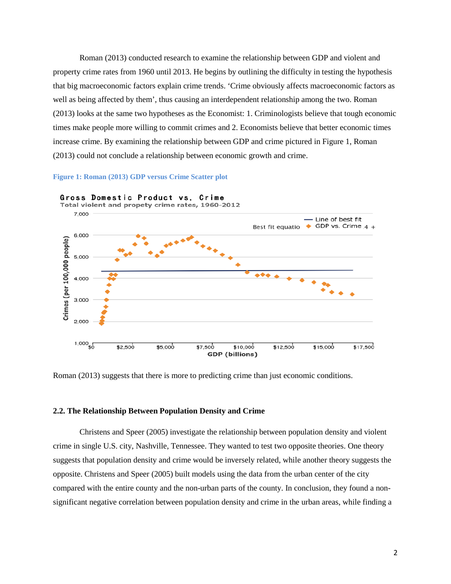Roman (2013) conducted research to examine the relationship between GDP and violent and property crime rates from 1960 until 2013. He begins by outlining the difficulty in testing the hypothesis that big macroeconomic factors explain crime trends. 'Crime obviously affects macroeconomic factors as well as being affected by them', thus causing an interdependent relationship among the two. Roman (2013) looks at the same two hypotheses as the Economist: 1. Criminologists believe that tough economic times make people more willing to commit crimes and 2. Economists believe that better economic times increase crime. By examining the relationship between GDP and crime pictured in Figure 1, Roman (2013) could not conclude a relationship between economic growth and crime.

#### **Figure 1: Roman (2013) GDP versus Crime Scatter plot**



Roman (2013) suggests that there is more to predicting crime than just economic conditions.

#### **2.2. The Relationship Between Population Density and Crime**

Christens and Speer (2005) investigate the relationship between population density and violent crime in single U.S. city, Nashville, Tennessee. They wanted to test two opposite theories. One theory suggests that population density and crime would be inversely related, while another theory suggests the opposite. Christens and Speer (2005) built models using the data from the urban center of the city compared with the entire county and the non-urban parts of the county. In conclusion, they found a nonsignificant negative correlation between population density and crime in the urban areas, while finding a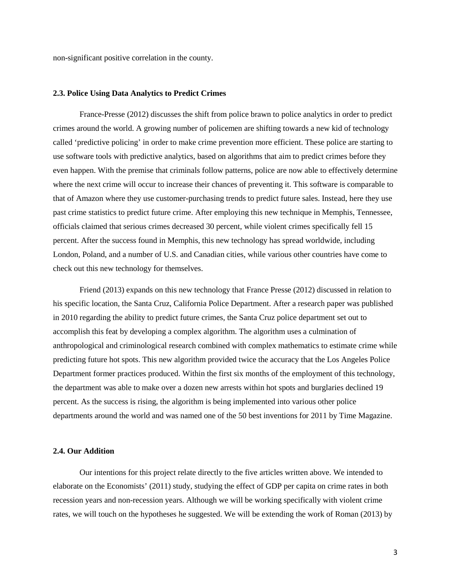non-significant positive correlation in the county.

#### **2.3. Police Using Data Analytics to Predict Crimes**

France-Presse (2012) discusses the shift from police brawn to police analytics in order to predict crimes around the world. A growing number of policemen are shifting towards a new kid of technology called 'predictive policing' in order to make crime prevention more efficient. These police are starting to use software tools with predictive analytics, based on algorithms that aim to predict crimes before they even happen. With the premise that criminals follow patterns, police are now able to effectively determine where the next crime will occur to increase their chances of preventing it. This software is comparable to that of Amazon where they use customer-purchasing trends to predict future sales. Instead, here they use past crime statistics to predict future crime. After employing this new technique in Memphis, Tennessee, officials claimed that serious crimes decreased 30 percent, while violent crimes specifically fell 15 percent. After the success found in Memphis, this new technology has spread worldwide, including London, Poland, and a number of U.S. and Canadian cities, while various other countries have come to check out this new technology for themselves.

Friend (2013) expands on this new technology that France Presse (2012) discussed in relation to his specific location, the Santa Cruz, California Police Department. After a research paper was published in 2010 regarding the ability to predict future crimes, the Santa Cruz police department set out to accomplish this feat by developing a complex algorithm. The algorithm uses a culmination of anthropological and criminological research combined with complex mathematics to estimate crime while predicting future hot spots. This new algorithm provided twice the accuracy that the Los Angeles Police Department former practices produced. Within the first six months of the employment of this technology, the department was able to make over a dozen new arrests within hot spots and burglaries declined 19 percent. As the success is rising, the algorithm is being implemented into various other police departments around the world and was named one of the 50 best inventions for 2011 by Time Magazine.

#### **2.4. Our Addition**

Our intentions for this project relate directly to the five articles written above. We intended to elaborate on the Economists' (2011) study, studying the effect of GDP per capita on crime rates in both recession years and non-recession years. Although we will be working specifically with violent crime rates, we will touch on the hypotheses he suggested. We will be extending the work of Roman (2013) by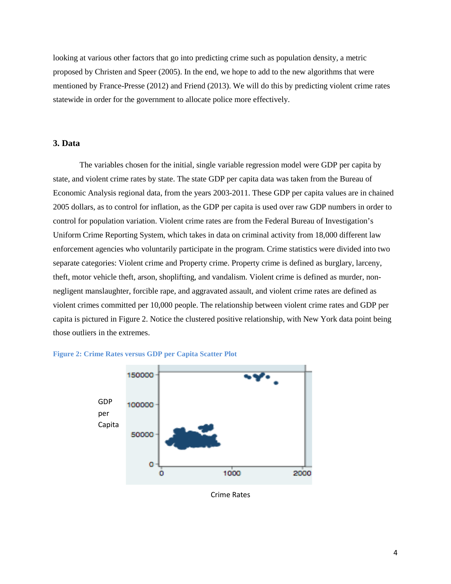looking at various other factors that go into predicting crime such as population density, a metric proposed by Christen and Speer (2005). In the end, we hope to add to the new algorithms that were mentioned by France-Presse (2012) and Friend (2013). We will do this by predicting violent crime rates statewide in order for the government to allocate police more effectively.

# **3. Data**

The variables chosen for the initial, single variable regression model were GDP per capita by state, and violent crime rates by state. The state GDP per capita data was taken from the Bureau of Economic Analysis regional data, from the years 2003-2011. These GDP per capita values are in chained 2005 dollars, as to control for inflation, as the GDP per capita is used over raw GDP numbers in order to control for population variation. Violent crime rates are from the Federal Bureau of Investigation's Uniform Crime Reporting System, which takes in data on criminal activity from 18,000 different law enforcement agencies who voluntarily participate in the program. Crime statistics were divided into two separate categories: Violent crime and Property crime. Property crime is defined as burglary, larceny, theft, motor vehicle theft, arson, shoplifting, and vandalism. Violent crime is defined as murder, nonnegligent manslaughter, forcible rape, and aggravated assault, and violent crime rates are defined as violent crimes committed per 10,000 people. The relationship between violent crime rates and GDP per capita is pictured in Figure 2. Notice the clustered positive relationship, with New York data point being those outliers in the extremes.





Crime Rates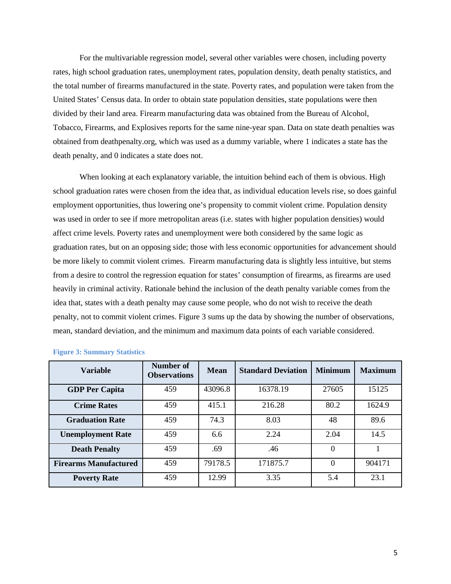For the multivariable regression model, several other variables were chosen, including poverty rates, high school graduation rates, unemployment rates, population density, death penalty statistics, and the total number of firearms manufactured in the state. Poverty rates, and population were taken from the United States' Census data. In order to obtain state population densities, state populations were then divided by their land area. Firearm manufacturing data was obtained from the Bureau of Alcohol, Tobacco, Firearms, and Explosives reports for the same nine-year span. Data on state death penalties was obtained from deathpenalty.org, which was used as a dummy variable, where 1 indicates a state has the death penalty, and 0 indicates a state does not.

When looking at each explanatory variable, the intuition behind each of them is obvious. High school graduation rates were chosen from the idea that, as individual education levels rise, so does gainful employment opportunities, thus lowering one's propensity to commit violent crime. Population density was used in order to see if more metropolitan areas (i.e. states with higher population densities) would affect crime levels. Poverty rates and unemployment were both considered by the same logic as graduation rates, but on an opposing side; those with less economic opportunities for advancement should be more likely to commit violent crimes. Firearm manufacturing data is slightly less intuitive, but stems from a desire to control the regression equation for states' consumption of firearms, as firearms are used heavily in criminal activity. Rationale behind the inclusion of the death penalty variable comes from the idea that, states with a death penalty may cause some people, who do not wish to receive the death penalty, not to commit violent crimes. Figure 3 sums up the data by showing the number of observations, mean, standard deviation, and the minimum and maximum data points of each variable considered.

| Variable                     | Number of<br><b>Observations</b> | <b>Mean</b> | <b>Standard Deviation</b> | <b>Minimum</b> | <b>Maximum</b> |
|------------------------------|----------------------------------|-------------|---------------------------|----------------|----------------|
| <b>GDP Per Capita</b>        | 459                              | 43096.8     | 16378.19                  | 27605          | 15125          |
| <b>Crime Rates</b>           | 459                              | 415.1       | 216.28                    | 80.2           | 1624.9         |
| <b>Graduation Rate</b>       | 459                              | 74.3        | 8.03                      | 48             | 89.6           |
| <b>Unemployment Rate</b>     | 459                              | 6.6         | 2.24                      | 2.04           | 14.5           |
| <b>Death Penalty</b>         | 459                              | .69         | .46                       | $\theta$       |                |
| <b>Firearms Manufactured</b> | 459                              | 79178.5     | 171875.7                  | $\theta$       | 904171         |
| <b>Poverty Rate</b>          | 459                              | 12.99       | 3.35                      | 5.4            | 23.1           |

|  | <b>Figure 3: Summary Statistics</b> |  |
|--|-------------------------------------|--|
|--|-------------------------------------|--|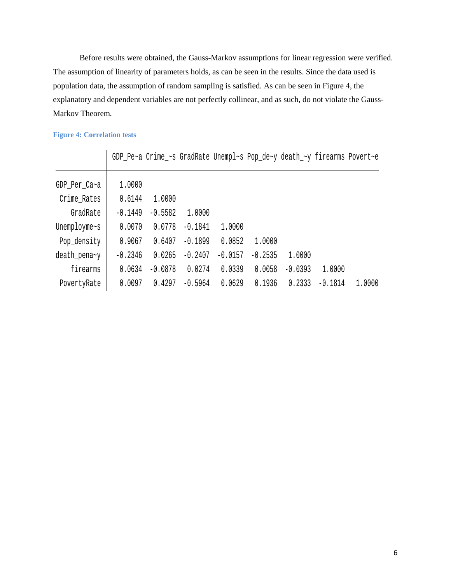Before results were obtained, the Gauss-Markov assumptions for linear regression were verified. The assumption of linearity of parameters holds, as can be seen in the results. Since the data used is population data, the assumption of random sampling is satisfied. As can be seen in Figure 4, the explanatory and dependent variables are not perfectly collinear, and as such, do not violate the Gauss-Markov Theorem.

# **Figure 4: Correlation tests**

|              |           |           |           |           |           | GDP_Pe~a Crime_~s GradRate Unempl~s Pop_de~y death_~y firearms Povert~e |           |        |
|--------------|-----------|-----------|-----------|-----------|-----------|-------------------------------------------------------------------------|-----------|--------|
|              |           |           |           |           |           |                                                                         |           |        |
| GDP_Per_Ca~a | 1,0000    |           |           |           |           |                                                                         |           |        |
| Crime Rates  | 0.6144    | 1,0000    |           |           |           |                                                                         |           |        |
| GradRate     | $-0.1449$ | $-0.5582$ | 1,0000    |           |           |                                                                         |           |        |
| Unemployme~s | 0.0070    | 0.0778    | $-0.1841$ | 1,0000    |           |                                                                         |           |        |
| Pop_density  | 0.9067    | 0.6407    | $-0.1899$ | 0.0852    | 1,0000    |                                                                         |           |        |
| death_pena~y | $-0.2346$ | 0.0265    | $-0.2407$ | $-0.0157$ | $-0.2535$ | 1,0000                                                                  |           |        |
| firearms     | 0.0634    | $-0.0878$ | 0.0274    | 0.0339    | 0.0058    | $-0.0393$                                                               | 1,0000    |        |
| PovertyRate  | 0.0097    | 0.4297    | $-0.5964$ | 0.0629    | 0.1936    | 0.2333                                                                  | $-0.1814$ | 1,0000 |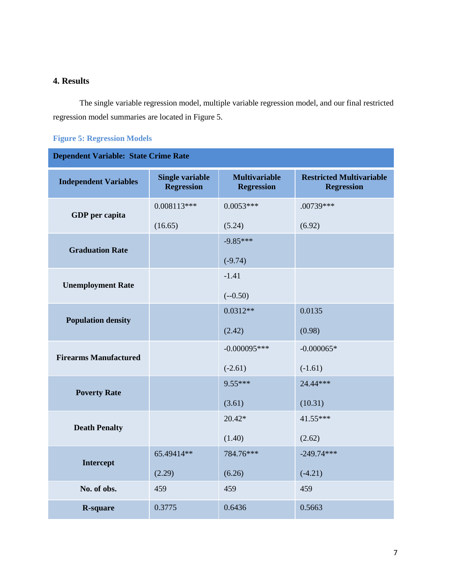# **4. Results**

The single variable regression model, multiple variable regression model, and our final restricted regression model summaries are located in Figure 5.

|  | <b>Figure 5: Regression Models</b> |
|--|------------------------------------|
|  |                                    |

| <b>Dependent Variable: State Crime Rate</b> |                                             |                                           |                                                      |  |  |
|---------------------------------------------|---------------------------------------------|-------------------------------------------|------------------------------------------------------|--|--|
| <b>Independent Variables</b>                | <b>Single variable</b><br><b>Regression</b> | <b>Multivariable</b><br><b>Regression</b> | <b>Restricted Multivariable</b><br><b>Regression</b> |  |  |
|                                             | $0.008113***$                               | $0.0053***$                               | .00739***                                            |  |  |
| GDP per capita                              | (16.65)                                     | (5.24)                                    | (6.92)                                               |  |  |
| <b>Graduation Rate</b>                      |                                             | $-9.85***$                                |                                                      |  |  |
|                                             |                                             | $(-9.74)$                                 |                                                      |  |  |
| <b>Unemployment Rate</b>                    |                                             | $-1.41$                                   |                                                      |  |  |
|                                             |                                             | $(-0.50)$                                 |                                                      |  |  |
| <b>Population density</b>                   |                                             | $0.0312**$                                | 0.0135                                               |  |  |
|                                             |                                             | (2.42)                                    | (0.98)                                               |  |  |
| <b>Firearms Manufactured</b>                |                                             | $-0.000095***$                            | $-0.000065*$                                         |  |  |
|                                             |                                             | $(-2.61)$                                 | $(-1.61)$                                            |  |  |
| <b>Poverty Rate</b>                         |                                             | $9.55***$                                 | 24.44***                                             |  |  |
|                                             |                                             | (3.61)                                    | (10.31)                                              |  |  |
| <b>Death Penalty</b>                        |                                             | $20.42*$                                  | 41.55***                                             |  |  |
|                                             |                                             | (1.40)                                    | (2.62)                                               |  |  |
| <b>Intercept</b>                            | 65.49414**                                  | 784.76***                                 | $-249.74***$                                         |  |  |
|                                             | (2.29)                                      | (6.26)                                    | $(-4.21)$                                            |  |  |
| No. of obs.                                 | 459                                         | 459                                       | 459                                                  |  |  |
| <b>R-square</b>                             | 0.3775                                      | 0.6436                                    | 0.5663                                               |  |  |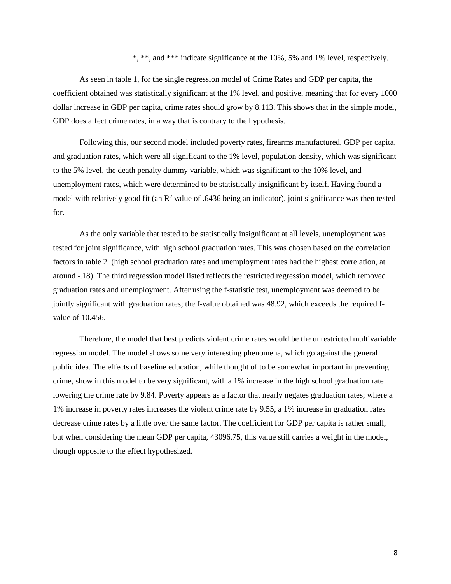\*, \*\*, and \*\*\* indicate significance at the 10%, 5% and 1% level, respectively.

As seen in table 1, for the single regression model of Crime Rates and GDP per capita, the coefficient obtained was statistically significant at the 1% level, and positive, meaning that for every 1000 dollar increase in GDP per capita, crime rates should grow by 8.113. This shows that in the simple model, GDP does affect crime rates, in a way that is contrary to the hypothesis.

Following this, our second model included poverty rates, firearms manufactured, GDP per capita, and graduation rates, which were all significant to the 1% level, population density, which was significant to the 5% level, the death penalty dummy variable, which was significant to the 10% level, and unemployment rates, which were determined to be statistically insignificant by itself. Having found a model with relatively good fit (an  $\mathbb{R}^2$  value of .6436 being an indicator), joint significance was then tested for.

As the only variable that tested to be statistically insignificant at all levels, unemployment was tested for joint significance, with high school graduation rates. This was chosen based on the correlation factors in table 2. (high school graduation rates and unemployment rates had the highest correlation, at around -.18). The third regression model listed reflects the restricted regression model, which removed graduation rates and unemployment. After using the f-statistic test, unemployment was deemed to be jointly significant with graduation rates; the f-value obtained was 48.92, which exceeds the required fvalue of 10.456.

Therefore, the model that best predicts violent crime rates would be the unrestricted multivariable regression model. The model shows some very interesting phenomena, which go against the general public idea. The effects of baseline education, while thought of to be somewhat important in preventing crime, show in this model to be very significant, with a 1% increase in the high school graduation rate lowering the crime rate by 9.84. Poverty appears as a factor that nearly negates graduation rates; where a 1% increase in poverty rates increases the violent crime rate by 9.55, a 1% increase in graduation rates decrease crime rates by a little over the same factor. The coefficient for GDP per capita is rather small, but when considering the mean GDP per capita, 43096.75, this value still carries a weight in the model, though opposite to the effect hypothesized.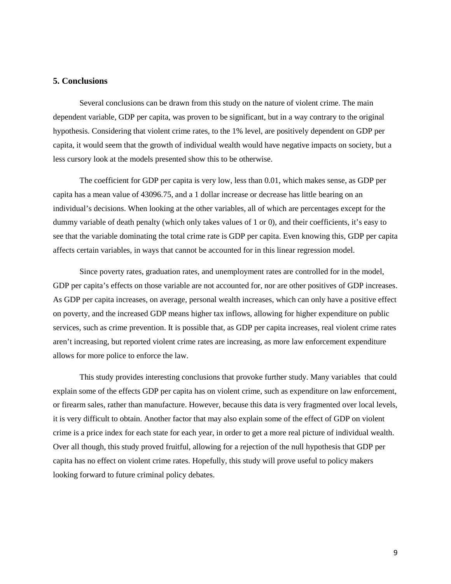### **5. Conclusions**

Several conclusions can be drawn from this study on the nature of violent crime. The main dependent variable, GDP per capita, was proven to be significant, but in a way contrary to the original hypothesis. Considering that violent crime rates, to the 1% level, are positively dependent on GDP per capita, it would seem that the growth of individual wealth would have negative impacts on society, but a less cursory look at the models presented show this to be otherwise.

The coefficient for GDP per capita is very low, less than 0.01, which makes sense, as GDP per capita has a mean value of 43096.75, and a 1 dollar increase or decrease has little bearing on an individual's decisions. When looking at the other variables, all of which are percentages except for the dummy variable of death penalty (which only takes values of 1 or 0), and their coefficients, it's easy to see that the variable dominating the total crime rate is GDP per capita. Even knowing this, GDP per capita affects certain variables, in ways that cannot be accounted for in this linear regression model.

Since poverty rates, graduation rates, and unemployment rates are controlled for in the model, GDP per capita's effects on those variable are not accounted for, nor are other positives of GDP increases. As GDP per capita increases, on average, personal wealth increases, which can only have a positive effect on poverty, and the increased GDP means higher tax inflows, allowing for higher expenditure on public services, such as crime prevention. It is possible that, as GDP per capita increases, real violent crime rates aren't increasing, but reported violent crime rates are increasing, as more law enforcement expenditure allows for more police to enforce the law.

This study provides interesting conclusions that provoke further study. Many variables that could explain some of the effects GDP per capita has on violent crime, such as expenditure on law enforcement, or firearm sales, rather than manufacture. However, because this data is very fragmented over local levels, it is very difficult to obtain. Another factor that may also explain some of the effect of GDP on violent crime is a price index for each state for each year, in order to get a more real picture of individual wealth. Over all though, this study proved fruitful, allowing for a rejection of the null hypothesis that GDP per capita has no effect on violent crime rates. Hopefully, this study will prove useful to policy makers looking forward to future criminal policy debates.